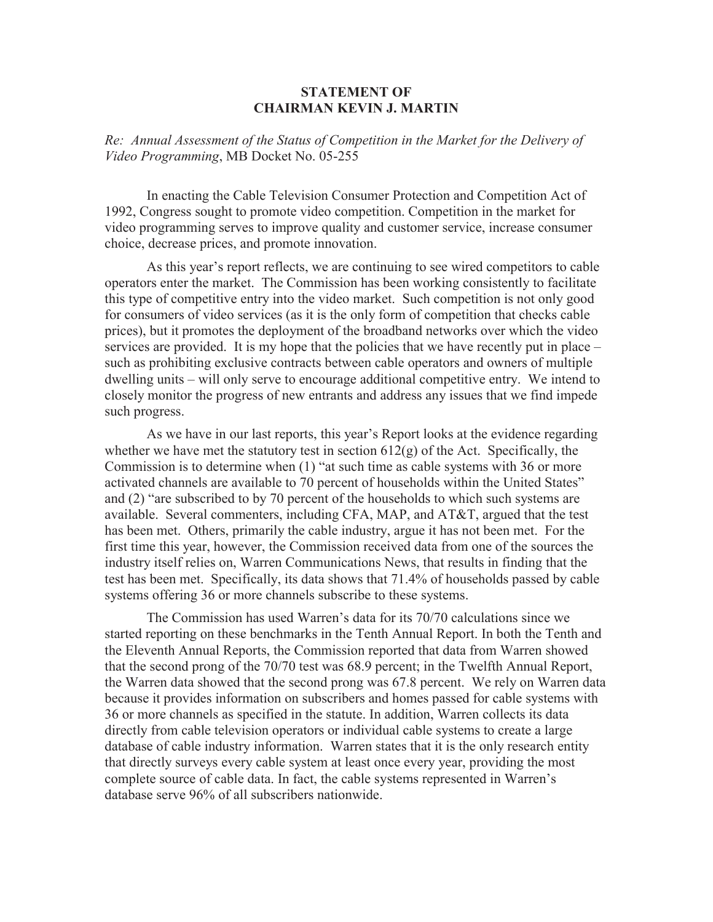## **STATEMENT OF CHAIRMAN KEVIN J. MARTIN**

*Re: Annual Assessment of the Status of Competition in the Market for the Delivery of Video Programming*, MB Docket No. 05-255

In enacting the Cable Television Consumer Protection and Competition Act of 1992, Congress sought to promote video competition. Competition in the market for video programming serves to improve quality and customer service, increase consumer choice, decrease prices, and promote innovation.

As this year's report reflects, we are continuing to see wired competitors to cable operators enter the market. The Commission has been working consistently to facilitate this type of competitive entry into the video market. Such competition is not only good for consumers of video services (as it is the only form of competition that checks cable prices), but it promotes the deployment of the broadband networks over which the video services are provided. It is my hope that the policies that we have recently put in place – such as prohibiting exclusive contracts between cable operators and owners of multiple dwelling units – will only serve to encourage additional competitive entry. We intend to closely monitor the progress of new entrants and address any issues that we find impede such progress.

As we have in our last reports, this year's Report looks at the evidence regarding whether we have met the statutory test in section  $612(g)$  of the Act. Specifically, the Commission is to determine when (1) "at such time as cable systems with 36 or more activated channels are available to 70 percent of households within the United States" and (2) "are subscribed to by 70 percent of the households to which such systems are available. Several commenters, including CFA, MAP, and AT&T, argued that the test has been met. Others, primarily the cable industry, argue it has not been met. For the first time this year, however, the Commission received data from one of the sources the industry itself relies on, Warren Communications News, that results in finding that the test has been met. Specifically, its data shows that 71.4% of households passed by cable systems offering 36 or more channels subscribe to these systems.

The Commission has used Warren's data for its 70/70 calculations since we started reporting on these benchmarks in the Tenth Annual Report. In both the Tenth and the Eleventh Annual Reports, the Commission reported that data from Warren showed that the second prong of the 70/70 test was 68.9 percent; in the Twelfth Annual Report, the Warren data showed that the second prong was 67.8 percent. We rely on Warren data because it provides information on subscribers and homes passed for cable systems with 36 or more channels as specified in the statute. In addition, Warren collects its data directly from cable television operators or individual cable systems to create a large database of cable industry information. Warren states that it is the only research entity that directly surveys every cable system at least once every year, providing the most complete source of cable data. In fact, the cable systems represented in Warren's database serve 96% of all subscribers nationwide.